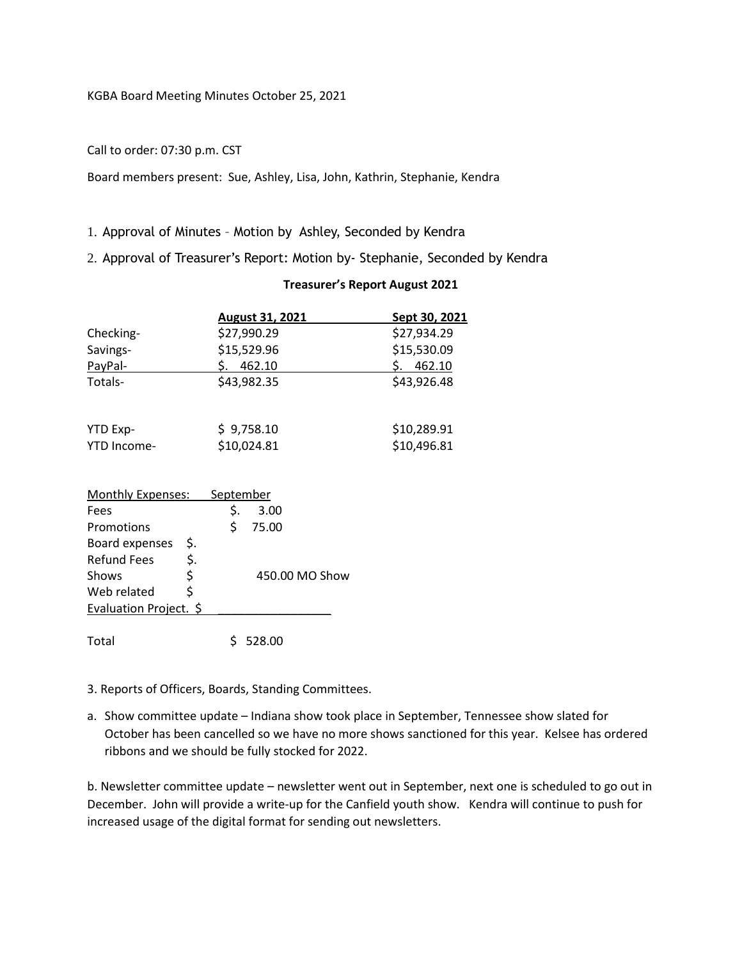## Call to order: 07:30 p.m. CST

Board members present: Sue, Ashley, Lisa, John, Kathrin, Stephanie, Kendra

## 1. Approval of Minutes – Motion by Ashley, Seconded by Kendra

2. Approval of Treasurer's Report: Motion by- Stephanie, Seconded by Kendra

|                          |            |           | <b>August 31, 2021</b> | <u>Sept 30, 2021</u> |
|--------------------------|------------|-----------|------------------------|----------------------|
| Checking-                |            |           | \$27,990.29            | \$27,934.29          |
| Savings-                 |            |           | \$15,529.96            | \$15,530.09          |
| PayPal-                  |            |           | 462.10                 | 462.10<br>S.         |
| Totals-                  |            |           | \$43,982.35            | \$43,926.48          |
|                          |            |           |                        |                      |
| YTD Exp-                 | \$9,758.10 |           |                        | \$10,289.91          |
| YTD Income-              |            |           | \$10,024.81            | \$10,496.81          |
|                          |            |           |                        |                      |
| <b>Monthly Expenses:</b> |            | September |                        |                      |
| Fees                     |            | \$.       | 3.00                   |                      |
| Promotions               |            | \$        | 75.00                  |                      |
| Board expenses           | \$.        |           |                        |                      |
| <b>Refund Fees</b>       | \$.        |           |                        |                      |
| Shows                    | \$         |           | 450.00 MO Show         |                      |
| Web related              | \$         |           |                        |                      |
| Evaluation Project. \$   |            |           |                        |                      |

## **Treasurer's Report August 2021**

Total \$ 528.00

3. Reports of Officers, Boards, Standing Committees.

a. Show committee update – Indiana show took place in September, Tennessee show slated for October has been cancelled so we have no more shows sanctioned for this year. Kelsee has ordered ribbons and we should be fully stocked for 2022.

b. Newsletter committee update – newsletter went out in September, next one is scheduled to go out in December. John will provide a write-up for the Canfield youth show. Kendra will continue to push for increased usage of the digital format for sending out newsletters.